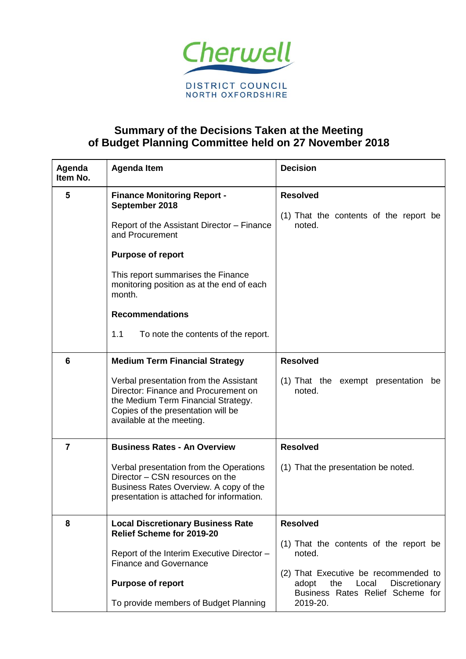

## **Summary of the Decisions Taken at the Meeting of Budget Planning Committee held on 27 November 2018**

| Agenda<br>Item No. | <b>Agenda Item</b>                                                                                                                                                                                                                                                                                                     | <b>Decision</b>                                                                                                                                                                                       |
|--------------------|------------------------------------------------------------------------------------------------------------------------------------------------------------------------------------------------------------------------------------------------------------------------------------------------------------------------|-------------------------------------------------------------------------------------------------------------------------------------------------------------------------------------------------------|
| 5                  | <b>Finance Monitoring Report -</b><br>September 2018<br>Report of the Assistant Director - Finance<br>and Procurement<br><b>Purpose of report</b><br>This report summarises the Finance<br>monitoring position as at the end of each<br>month.<br><b>Recommendations</b><br>1.1<br>To note the contents of the report. | <b>Resolved</b><br>(1) That the contents of the report be<br>noted.                                                                                                                                   |
| 6                  | <b>Medium Term Financial Strategy</b><br>Verbal presentation from the Assistant<br>Director: Finance and Procurement on<br>the Medium Term Financial Strategy.<br>Copies of the presentation will be<br>available at the meeting.                                                                                      | <b>Resolved</b><br>(1) That the exempt presentation<br>be<br>noted.                                                                                                                                   |
| 7                  | <b>Business Rates - An Overview</b><br>Verbal presentation from the Operations<br>Director - CSN resources on the<br>Business Rates Overview. A copy of the<br>presentation is attached for information.                                                                                                               | <b>Resolved</b><br>(1) That the presentation be noted.                                                                                                                                                |
| 8                  | <b>Local Discretionary Business Rate</b><br>Relief Scheme for 2019-20<br>Report of the Interim Executive Director -<br><b>Finance and Governance</b><br><b>Purpose of report</b><br>To provide members of Budget Planning                                                                                              | <b>Resolved</b><br>(1) That the contents of the report be<br>noted.<br>(2) That Executive be recommended to<br>adopt<br>the<br>Discretionary<br>Local<br>Business Rates Relief Scheme for<br>2019-20. |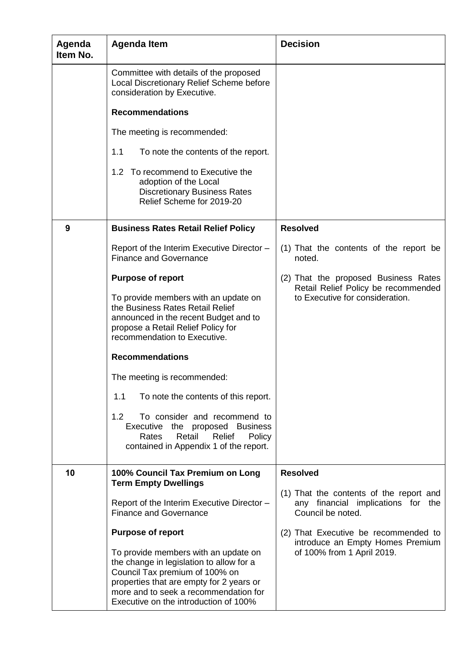| Agenda<br>Item No. | <b>Agenda Item</b>                                                                                                                                                                                                                               | <b>Decision</b>                                                                                                       |
|--------------------|--------------------------------------------------------------------------------------------------------------------------------------------------------------------------------------------------------------------------------------------------|-----------------------------------------------------------------------------------------------------------------------|
|                    | Committee with details of the proposed<br>Local Discretionary Relief Scheme before<br>consideration by Executive.                                                                                                                                |                                                                                                                       |
|                    | <b>Recommendations</b>                                                                                                                                                                                                                           |                                                                                                                       |
|                    | The meeting is recommended:                                                                                                                                                                                                                      |                                                                                                                       |
|                    | 1.1<br>To note the contents of the report.                                                                                                                                                                                                       |                                                                                                                       |
|                    | 1.2 To recommend to Executive the<br>adoption of the Local<br><b>Discretionary Business Rates</b><br>Relief Scheme for 2019-20                                                                                                                   |                                                                                                                       |
| 9                  | <b>Business Rates Retail Relief Policy</b>                                                                                                                                                                                                       | <b>Resolved</b>                                                                                                       |
|                    | Report of the Interim Executive Director -<br><b>Finance and Governance</b>                                                                                                                                                                      | (1) That the contents of the report be<br>noted.                                                                      |
|                    | <b>Purpose of report</b>                                                                                                                                                                                                                         | (2) That the proposed Business Rates<br>Retail Relief Policy be recommended<br>to Executive for consideration.        |
|                    | To provide members with an update on<br>the Business Rates Retail Relief<br>announced in the recent Budget and to<br>propose a Retail Relief Policy for<br>recommendation to Executive.                                                          |                                                                                                                       |
|                    | <b>Recommendations</b>                                                                                                                                                                                                                           |                                                                                                                       |
|                    | The meeting is recommended:                                                                                                                                                                                                                      |                                                                                                                       |
|                    | 1.1<br>To note the contents of this report.                                                                                                                                                                                                      |                                                                                                                       |
|                    | To consider and recommend to<br>1.2<br>Executive the proposed Business<br>Relief<br>Rates<br>Retail<br>Policy<br>contained in Appendix 1 of the report.                                                                                          |                                                                                                                       |
| 10                 | 100% Council Tax Premium on Long<br><b>Term Empty Dwellings</b>                                                                                                                                                                                  | <b>Resolved</b><br>(1) That the contents of the report and<br>any financial implications for the<br>Council be noted. |
|                    | Report of the Interim Executive Director -<br><b>Finance and Governance</b>                                                                                                                                                                      |                                                                                                                       |
|                    | <b>Purpose of report</b>                                                                                                                                                                                                                         | (2) That Executive be recommended to                                                                                  |
|                    | To provide members with an update on<br>the change in legislation to allow for a<br>Council Tax premium of 100% on<br>properties that are empty for 2 years or<br>more and to seek a recommendation for<br>Executive on the introduction of 100% | introduce an Empty Homes Premium<br>of 100% from 1 April 2019.                                                        |